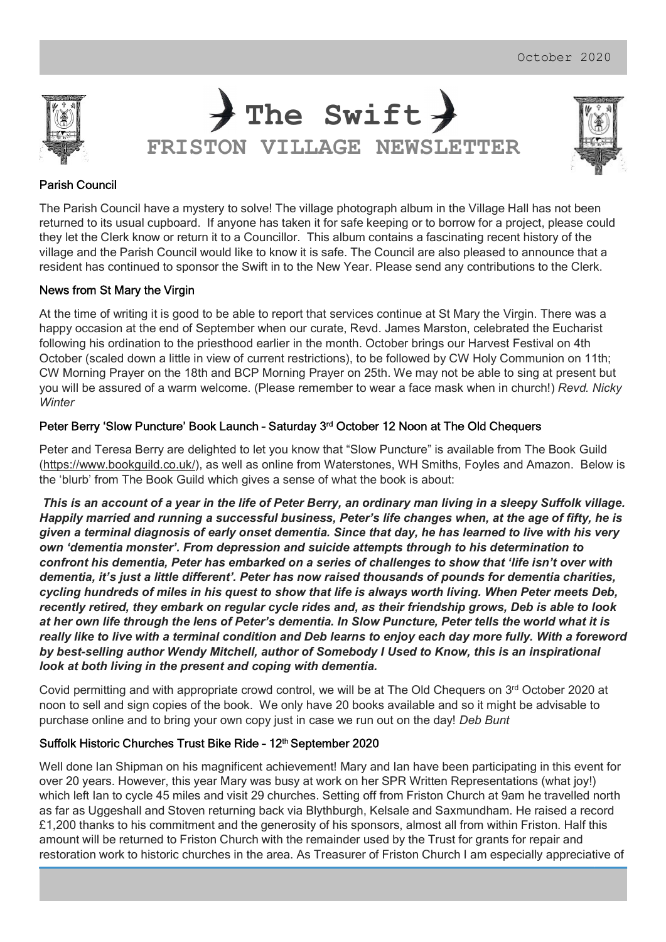

The Swift > FRISTON VILLAGE NEWSLETTER



## Parish Council

The Parish Council have a mystery to solve! The village photograph album in the Village Hall has not been returned to its usual cupboard. If anyone has taken it for safe keeping or to borrow for a project, please could they let the Clerk know or return it to a Councillor. This album contains a fascinating recent history of the village and the Parish Council would like to know it is safe. The Council are also pleased to announce that a resident has continued to sponsor the Swift in to the New Year. Please send any contributions to the Clerk.

#### News from St Mary the Virgin

At the time of writing it is good to be able to report that services continue at St Mary the Virgin. There was a happy occasion at the end of September when our curate, Revd. James Marston, celebrated the Eucharist following his ordination to the priesthood earlier in the month. October brings our Harvest Festival on 4th October (scaled down a little in view of current restrictions), to be followed by CW Holy Communion on 11th; CW Morning Prayer on the 18th and BCP Morning Prayer on 25th. We may not be able to sing at present but you will be assured of a warm welcome. (Please remember to wear a face mask when in church!) Revd. Nicky **Winter** 

#### Peter Berry 'Slow Puncture' Book Launch – Saturday 3rd October 12 Noon at The Old Chequers

Peter and Teresa Berry are delighted to let you know that "Slow Puncture" is available from The Book Guild (https://www.bookguild.co.uk/), as well as online from Waterstones, WH Smiths, Foyles and Amazon. Below is the 'blurb' from The Book Guild which gives a sense of what the book is about:

This is an account of a year in the life of Peter Berry, an ordinary man living in a sleepy Suffolk village. Happily married and running a successful business, Peter's life changes when, at the age of fifty, he is given a terminal diagnosis of early onset dementia. Since that day, he has learned to live with his very own 'dementia monster'. From depression and suicide attempts through to his determination to confront his dementia, Peter has embarked on a series of challenges to show that 'life isn't over with dementia, it's just a little different'. Peter has now raised thousands of pounds for dementia charities, cycling hundreds of miles in his quest to show that life is always worth living. When Peter meets Deb, recently retired, they embark on regular cycle rides and, as their friendship grows, Deb is able to look at her own life through the lens of Peter's dementia. In Slow Puncture, Peter tells the world what it is really like to live with a terminal condition and Deb learns to enjoy each day more fully. With a foreword by best-selling author Wendy Mitchell, author of Somebody I Used to Know, this is an inspirational look at both living in the present and coping with dementia.

Covid permitting and with appropriate crowd control, we will be at The Old Chequers on  $3<sup>rd</sup>$  October 2020 at noon to sell and sign copies of the book. We only have 20 books available and so it might be advisable to purchase online and to bring your own copy just in case we run out on the day! Deb Bunt

### Suffolk Historic Churches Trust Bike Ride - 12th September 2020

Well done Ian Shipman on his magnificent achievement! Mary and Ian have been participating in this event for over 20 years. However, this year Mary was busy at work on her SPR Written Representations (what joy!) which left Ian to cycle 45 miles and visit 29 churches. Setting off from Friston Church at 9am he travelled north as far as Uggeshall and Stoven returning back via Blythburgh, Kelsale and Saxmundham. He raised a record £1,200 thanks to his commitment and the generosity of his sponsors, almost all from within Friston. Half this amount will be returned to Friston Church with the remainder used by the Trust for grants for repair and restoration work to historic churches in the area. As Treasurer of Friston Church I am especially appreciative of